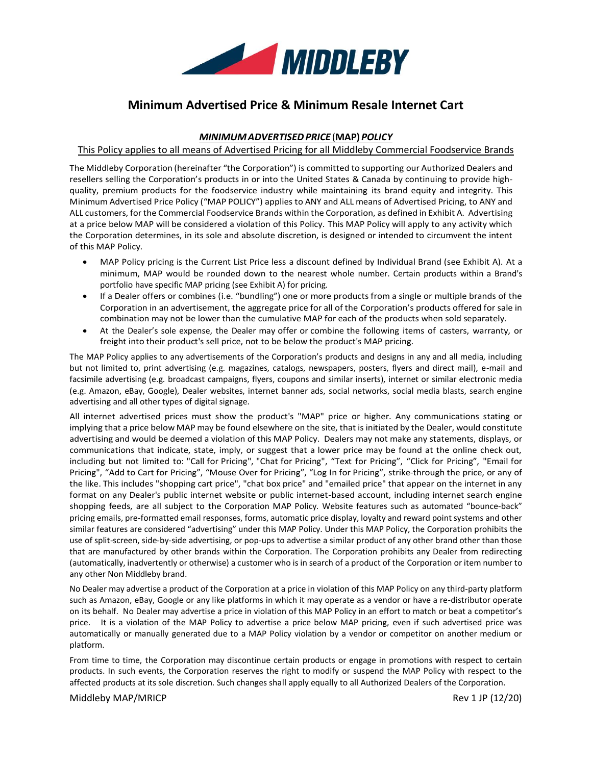

# **Minimum Advertised Price & Minimum Resale Internet Cart**

## *MINIMUMADVERTISEDPRICE* (**MAP)** *POLICY*

### This Policy applies to all means of Advertised Pricing for all Middleby Commercial Foodservice Brands

The Middleby Corporation (hereinafter "the Corporation") is committed to supporting our Authorized Dealers and resellers selling the Corporation's products in or into the United States & Canada by continuing to provide highquality, premium products for the foodservice industry while maintaining its brand equity and integrity. This Minimum Advertised Price Policy ("MAP POLICY") applies to ANY and ALL means of Advertised Pricing, to ANY and ALL customers, for the Commercial Foodservice Brands within the Corporation, as defined in Exhibit A. Advertising at a price below MAP will be considered a violation of this Policy. This MAP Policy will apply to any activity which the Corporation determines, in its sole and absolute discretion, is designed or intended to circumvent the intent of this MAP Policy.

- MAP Policy pricing is the Current List Price less a discount defined by Individual Brand (see Exhibit A). At a minimum, MAP would be rounded down to the nearest whole number. Certain products within a Brand's portfolio have specific MAP pricing (see Exhibit A) for pricing.
- If a Dealer offers or combines (i.e. "bundling") one or more products from a single or multiple brands of the Corporation in an advertisement, the aggregate price for all of the Corporation's products offered for sale in combination may not be lower than the cumulative MAP for each of the products when sold separately.
- At the Dealer's sole expense, the Dealer may offer or combine the following items of casters, warranty, or freight into their product's sell price, not to be below the product's MAP pricing.

The MAP Policy applies to any advertisements of the Corporation's products and designs in any and all media, including but not limited to, print advertising (e.g. magazines, catalogs, newspapers, posters, flyers and direct mail), e-mail and facsimile advertising (e.g. broadcast campaigns, flyers, coupons and similar inserts), internet or similar electronic media (e.g. Amazon, eBay, Google), Dealer websites, internet banner ads, social networks, social media blasts, search engine advertising and all other types of digital signage.

All internet advertised prices must show the product's "MAP" price or higher. Any communications stating or implying that a price below MAP may be found elsewhere on the site, that is initiated by the Dealer, would constitute advertising and would be deemed a violation of this MAP Policy. Dealers may not make any statements, displays, or communications that indicate, state, imply, or suggest that a lower price may be found at the online check out, including but not limited to: "Call for Pricing", "Chat for Pricing", "Text for Pricing", "Click for Pricing", "Email for Pricing", "Add to Cart for Pricing", "Mouse Over for Pricing", "Log In for Pricing", strike-through the price, or any of the like. This includes "shopping cart price", "chat box price" and "emailed price" that appear on the internet in any format on any Dealer's public internet website or public internet-based account, including internet search engine shopping feeds, are all subject to the Corporation MAP Policy. Website features such as automated "bounce-back" pricing emails, pre-formatted email responses, forms, automatic price display, loyalty and reward point systems and other similar features are considered "advertising" under this MAP Policy. Under this MAP Policy, the Corporation prohibits the use of split-screen, side-by-side advertising, or pop-ups to advertise a similar product of any other brand other than those that are manufactured by other brands within the Corporation. The Corporation prohibits any Dealer from redirecting (automatically, inadvertently or otherwise) a customer who is in search of a product of the Corporation or item number to any other Non Middleby brand.

No Dealer may advertise a product of the Corporation at a price in violation of this MAP Policy on any third-party platform such as Amazon, eBay, Google or any like platforms in which it may operate as a vendor or have a re-distributor operate on its behalf. No Dealer may advertise a price in violation of this MAP Policy in an effort to match or beat a competitor's price. It is a violation of the MAP Policy to advertise a price below MAP pricing, even if such advertised price was automatically or manually generated due to a MAP Policy violation by a vendor or competitor on another medium or platform.

From time to time, the Corporation may discontinue certain products or engage in promotions with respect to certain products. In such events, the Corporation reserves the right to modify or suspend the MAP Policy with respect to the affected products at its sole discretion. Such changes shall apply equally to all Authorized Dealers of the Corporation.

Middleby MAP/MRICP Rev 1 JP (12/20)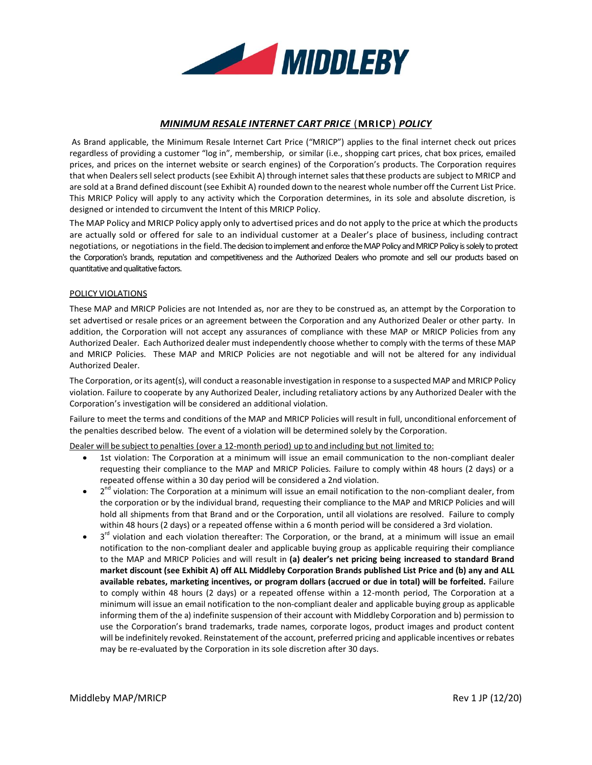

# *MINIMUM RESALE INTERNET CART PRICE* (**MRICP**) *POLICY*

As Brand applicable, the Minimum Resale Internet Cart Price ("MRICP") applies to the final internet check out prices regardless of providing a customer "log in", membership, or similar (i.e., shopping cart prices, chat box prices, emailed prices, and prices on the internet website or search engines) of the Corporation's products. The Corporation requires that when Dealers sell select products (see Exhibit A) through internet sales that these products are subject to MRICP and are sold at a Brand defined discount (see Exhibit A) rounded down to the nearest whole number off the Current List Price. This MRICP Policy will apply to any activity which the Corporation determines, in its sole and absolute discretion, is designed or intended to circumvent the Intent of this MRICP Policy.

The MAP Policy and MRICP Policy apply only to advertised prices and do not apply to the price at which the products are actually sold or offered for sale to an individual customer at a Dealer's place of business, including contract negotiations, or negotiations in the field. The decision to implement and enforce the MAP Policy and MRICP Policy is solely to protect the Corporation's brands, reputation and competitiveness and the Authorized Dealers who promote and sell our products based on quantitative and qualitative factors.

### POLICY VIOLATIONS

These MAP and MRICP Policies are not Intended as, nor are they to be construed as, an attempt by the Corporation to set advertised or resale prices or an agreement between the Corporation and any Authorized Dealer or other party. In addition, the Corporation will not accept any assurances of compliance with these MAP or MRICP Policies from any Authorized Dealer. Each Authorized dealer must independently choose whether to comply with the terms of these MAP and MRICP Policies. These MAP and MRICP Policies are not negotiable and will not be altered for any individual Authorized Dealer.

The Corporation, or its agent(s), will conduct a reasonable investigation in response to a suspected MAP and MRICP Policy violation. Failure to cooperate by any Authorized Dealer, including retaliatory actions by any Authorized Dealer with the Corporation's investigation will be considered an additional violation.

Failure to meet the terms and conditions of the MAP and MRICP Policies will result in full, unconditional enforcement of the penalties described below. The event of a violation will be determined solely by the Corporation.

Dealer will be subject to penalties (over a 12-month period) up to and including but not limited to:

- 1st violation: The Corporation at a minimum will issue an email communication to the non-compliant dealer requesting their compliance to the MAP and MRICP Policies. Failure to comply within 48 hours (2 days) or a repeated offense within a 30 day period will be considered a 2nd violation.
- 2<sup>nd</sup> violation: The Corporation at a minimum will issue an email notification to the non-compliant dealer, from the corporation or by the individual brand, requesting their compliance to the MAP and MRICP Policies and will hold all shipments from that Brand and or the Corporation, until all violations are resolved. Failure to comply within 48 hours (2 days) or a repeated offense within a 6 month period will be considered a 3rd violation.
- $\bullet$  3<sup>rd</sup> violation and each violation thereafter: The Corporation, or the brand, at a minimum will issue an email notification to the non-compliant dealer and applicable buying group as applicable requiring their compliance to the MAP and MRICP Policies and will result in **(a) dealer's net pricing being increased to standard Brand market discount (see Exhibit A) off ALL Middleby Corporation Brands published List Price and (b) any and ALL available rebates, marketing incentives, or program dollars (accrued or due in total) will be forfeited.** Failure to comply within 48 hours (2 days) or a repeated offense within a 12-month period, The Corporation at a minimum will issue an email notification to the non-compliant dealer and applicable buying group as applicable informing them of the a) indefinite suspension of their account with Middleby Corporation and b) permission to use the Corporation's brand trademarks, trade names, corporate logos, product images and product content will be indefinitely revoked. Reinstatement of the account, preferred pricing and applicable incentives or rebates may be re-evaluated by the Corporation in its sole discretion after 30 days.